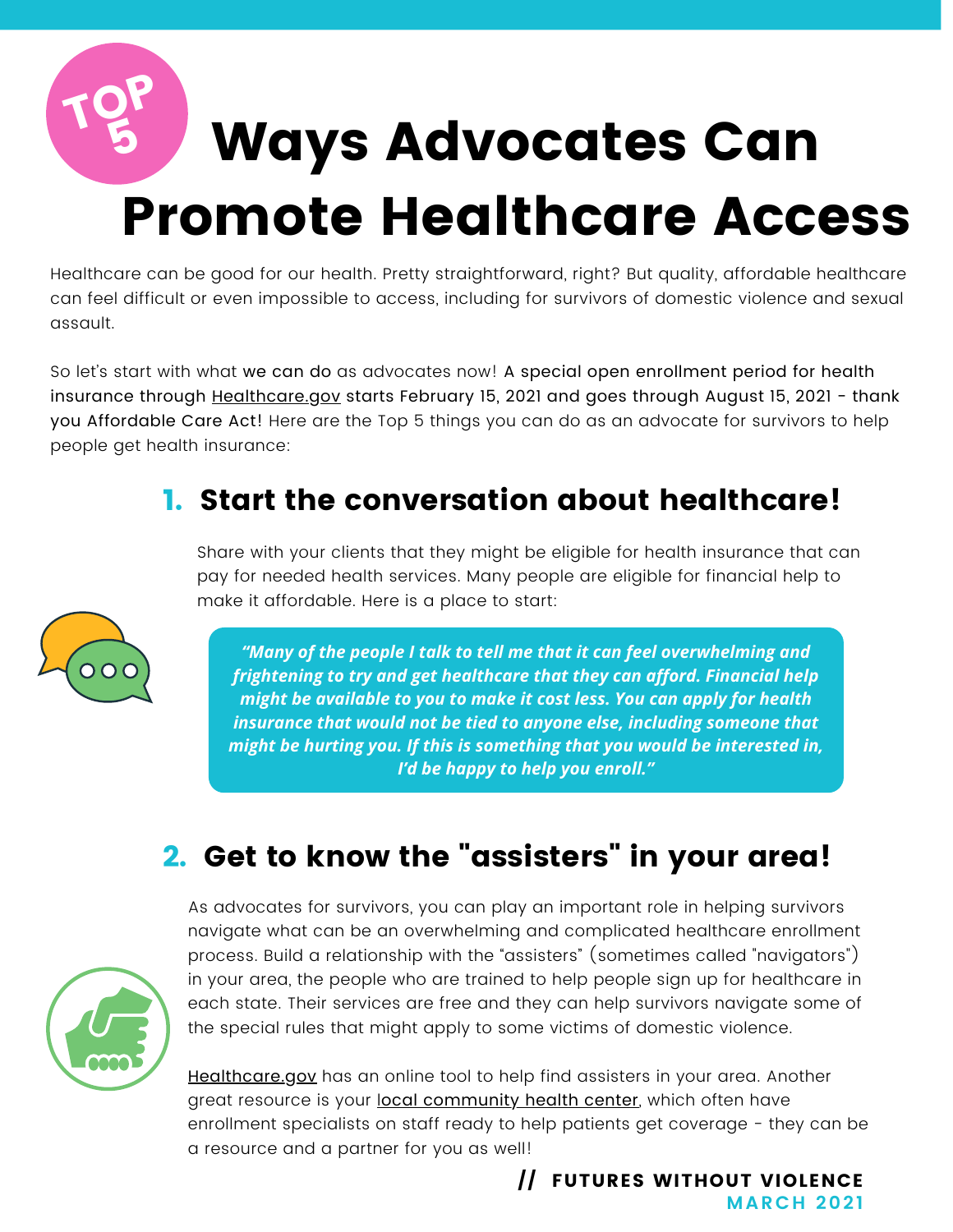# Ways Advocates Can Promote Healthcare Access TOP 5

Healthcare can be good for our health. Pretty straightforward, right? But quality, affordable healthcare can feel difficult or even impossible to access, including for survivors of domestic violence and sexual assault.

So let's start with what we can do as advocates now! A special open enrollment period for health insurance through [Healthcare.gov](https://www.healthcare.gov/) starts February 15, 2021 and goes through August 15, 2021 - thank you Affordable Care Act! Here are the Top 5 things you can do as an advocate for survivors to help people get health insurance:

#### 1. Start the conversation about healthcare!

Share with your clients that they might be eligible for health insurance that can pay for needed health services. Many people are eligible for financial help to make it affordable. Here is a place to start:

*"Many of the people I talk to tell me that it can feel overwhelming and frightening to try and get healthcare that they can afford. Financial help might be available to you to make it cost less. You can apply for health insurance that would not be tied to anyone else, including someone that might be hurting you. If this is something that you would be interested in, I'd be happy to help you enroll."*

### 2. Get to know the "assisters" in your area!



As advocates for survivors, you can play an important role in helping survivors navigate what can be an overwhelming and complicated healthcare enrollment process. Build a relationship with the "assisters" (sometimes called "navigators") in your area, the people who are trained to help people sign up for healthcare in each state. Their services are free and they can help survivors navigate some of the special rules that might apply to some victims of domestic violence.

[Healthcare.gov](http://www.healthcare.gov/) has an online tool to help find assisters in your area. Another great resource is your [l](https://findahealthcenter.hrsa.gov/)ocal [community](https://findahealthcenter.hrsa.gov/) health center, which often have enrollment specialists on staff ready to help patients get coverage - they can be a resource and a partner for you as well!

> **MARCH 2021** // FUTURES WITHOUT VIOLENCE